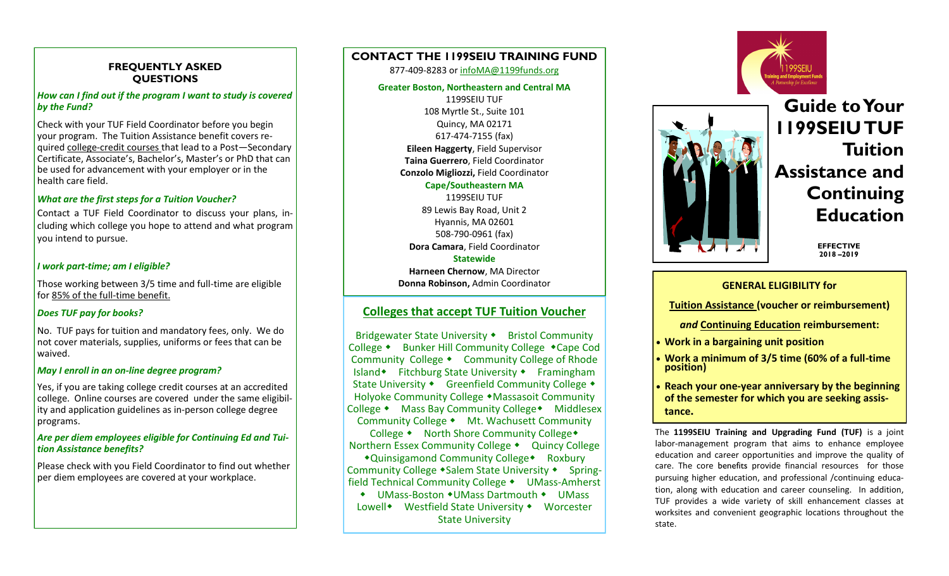### **FREQUENTLY ASKED QUESTIONS**

#### *How can I find out if the program I want to study is covered by the Fund?*

Check with your TUF Field Coordinator before you begin your program. The Tuition Assistance benefit covers required college-credit courses that lead to a Post—Secondary Certificate, Associate's, Bachelor's, Master's or PhD that can be used for advancement with your employer or in the health care field.

#### *What are the first steps for a Tuition Voucher?*

Contact a TUF Field Coordinator to discuss your plans, including which college you hope to attend and what program you intend to pursue.

#### *I work part-time; am I eligible?*

Those working between 3/5 time and full-time are eligible for 85% of the full-time benefit.

#### *Does TUF pay for books?*

No. TUF pays for tuition and mandatory fees, only. We do not cover materials, supplies, uniforms or fees that can be waived.

#### *May I enroll in an on-line degree program?*

Yes, if you are taking college credit courses at an accredited college. Online courses are covered under the same eligibility and application guidelines as in-person college degree programs.

#### *Are per diem employees eligible for Continuing Ed and Tuition Assistance benefits?*

Please check with you Field Coordinator to find out whether per diem employees are covered at your workplace.

# **CONTACT THE 1199SEIU TRAINING FUND**

#### 877-409-8283 or [infoMA@1199funds.org](mailto:infoMA@1199funds.org)

#### **Greater Boston, Northeastern and Central MA**

1199SEIU TUF 108 Myrtle St., Suite 101 Quincy, MA 02171 617-474-7155 (fax) **Eileen Haggerty**, Field Supervisor **Taina Guerrero**, Field Coordinator **Conzolo Migliozzi,** Field Coordinator **Cape/Southeastern MA**

# 1199SEIU TUF

89 Lewis Bay Road, Unit 2 Hyannis, MA 02601 508-790-0961 (fax) **Dora Camara**, Field Coordinator

#### **Statewide**

**Harneen Chernow**, MA Director **Donna Robinson,** Admin Coordinator

# **Colleges that accept TUF Tuition Voucher**

Bridgewater State University • Bristol Community College • Bunker Hill Community College • Cape Cod Community College • Community College of Rhode Island Fitchburg State University Framingham State University • Greenfield Community College • Holyoke Community College • Massasoit Community College • Mass Bay Community College • Middlesex Community College • Mt. Wachusett Community

College • North Shore Community College • Northern Essex Community College • Quincy College

 $\triangle$ Quinsigamond Community College $\triangle$  Roxbury Community College • Salem State University • Springfield Technical Community College • UMass-Amherst

◆ UMass-Boston ◆UMass Dartmouth ◆ UMass Lowell Westfield State University  $\bullet$  Worcester State University





# **Guide to Your 1199SEIU TUF Tuition Assistance and Continuing Education**

**EFFECTIVE 2018 –2019**

#### **GENERAL ELIGIBILITY for**

**Tuition Assistance (voucher or reimbursement)**

*and* **Continuing Education reimbursement:**

- **Work in a bargaining unit position**
- **Work a minimum of 3/5 time (60% of a full-time position)**
- **Reach your one-year anniversary by the beginning of the semester for which you are seeking assistance.**

The **1199SEIU Training and Upgrading Fund (TUF)** is a joint labor-management program that aims to enhance employee education and career opportunities and improve the quality of care. The core benefits provide financial resources for those pursuing higher education, and professional /continuing education, along with education and career counseling. In addition, TUF provides a wide variety of skill enhancement classes at worksites and convenient geographic locations throughout the state.